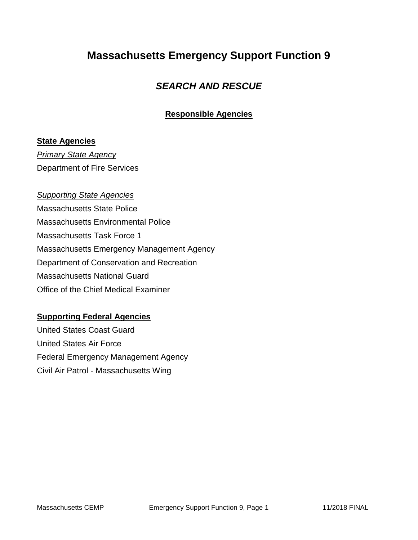## **Massachusetts Emergency Support Function 9**

### *SEARCH AND RESCUE*

#### **Responsible Agencies**

#### **State Agencies**

*Primary State Agency* Department of Fire Services

#### *Supporting State Agencies*

Massachusetts State Police Massachusetts Environmental Police Massachusetts Task Force 1 Massachusetts Emergency Management Agency Department of Conservation and Recreation Massachusetts National Guard Office of the Chief Medical Examiner

#### **Supporting Federal Agencies**

United States Coast Guard United States Air Force Federal Emergency Management Agency Civil Air Patrol - Massachusetts Wing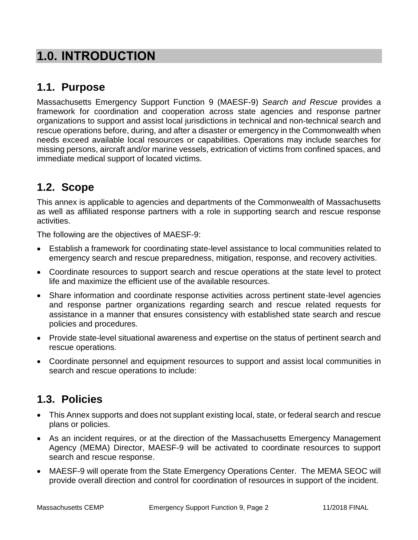# **1.0. INTRODUCTION**

## **1.1. Purpose**

Massachusetts Emergency Support Function 9 (MAESF-9) *Search and Rescue* provides a framework for coordination and cooperation across state agencies and response partner organizations to support and assist local jurisdictions in technical and non-technical search and rescue operations before, during, and after a disaster or emergency in the Commonwealth when needs exceed available local resources or capabilities. Operations may include searches for missing persons, aircraft and/or marine vessels, extrication of victims from confined spaces, and immediate medical support of located victims.

# **1.2. Scope**

This annex is applicable to agencies and departments of the Commonwealth of Massachusetts as well as affiliated response partners with a role in supporting search and rescue response activities.

The following are the objectives of MAESF-9:

- Establish a framework for coordinating state-level assistance to local communities related to emergency search and rescue preparedness, mitigation, response, and recovery activities.
- Coordinate resources to support search and rescue operations at the state level to protect life and maximize the efficient use of the available resources.
- Share information and coordinate response activities across pertinent state-level agencies and response partner organizations regarding search and rescue related requests for assistance in a manner that ensures consistency with established state search and rescue policies and procedures.
- Provide state-level situational awareness and expertise on the status of pertinent search and rescue operations.
- Coordinate personnel and equipment resources to support and assist local communities in search and rescue operations to include:

# **1.3. Policies**

- This Annex supports and does not supplant existing local, state, or federal search and rescue plans or policies.
- As an incident requires, or at the direction of the Massachusetts Emergency Management Agency (MEMA) Director, MAESF-9 will be activated to coordinate resources to support search and rescue response.
- MAESF-9 will operate from the State Emergency Operations Center. The MEMA SEOC will provide overall direction and control for coordination of resources in support of the incident.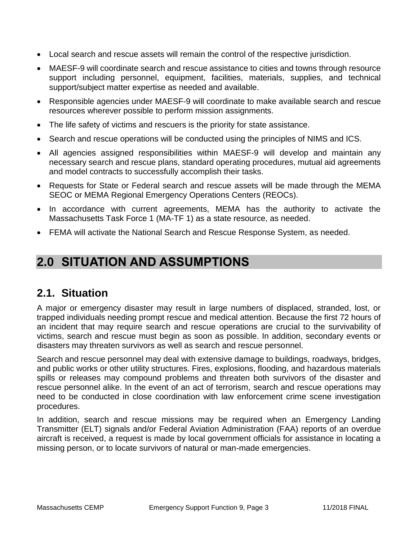- Local search and rescue assets will remain the control of the respective jurisdiction.
- MAESF-9 will coordinate search and rescue assistance to cities and towns through resource support including personnel, equipment, facilities, materials, supplies, and technical support/subject matter expertise as needed and available.
- Responsible agencies under MAESF-9 will coordinate to make available search and rescue resources wherever possible to perform mission assignments.
- The life safety of victims and rescuers is the priority for state assistance.
- Search and rescue operations will be conducted using the principles of NIMS and ICS.
- All agencies assigned responsibilities within MAESF-9 will develop and maintain any necessary search and rescue plans, standard operating procedures, mutual aid agreements and model contracts to successfully accomplish their tasks.
- Requests for State or Federal search and rescue assets will be made through the MEMA SEOC or MEMA Regional Emergency Operations Centers (REOCs).
- In accordance with current agreements, MEMA has the authority to activate the Massachusetts Task Force 1 (MA-TF 1) as a state resource, as needed.
- FEMA will activate the National Search and Rescue Response System, as needed.

# **2.0 SITUATION AND ASSUMPTIONS**

### **2.1. Situation**

A major or emergency disaster may result in large numbers of displaced, stranded, lost, or trapped individuals needing prompt rescue and medical attention. Because the first 72 hours of an incident that may require search and rescue operations are crucial to the survivability of victims, search and rescue must begin as soon as possible. In addition, secondary events or disasters may threaten survivors as well as search and rescue personnel.

Search and rescue personnel may deal with extensive damage to buildings, roadways, bridges, and public works or other utility structures. Fires, explosions, flooding, and hazardous materials spills or releases may compound problems and threaten both survivors of the disaster and rescue personnel alike. In the event of an act of terrorism, search and rescue operations may need to be conducted in close coordination with law enforcement crime scene investigation procedures.

In addition, search and rescue missions may be required when an Emergency Landing Transmitter (ELT) signals and/or Federal Aviation Administration (FAA) reports of an overdue aircraft is received, a request is made by local government officials for assistance in locating a missing person, or to locate survivors of natural or man-made emergencies.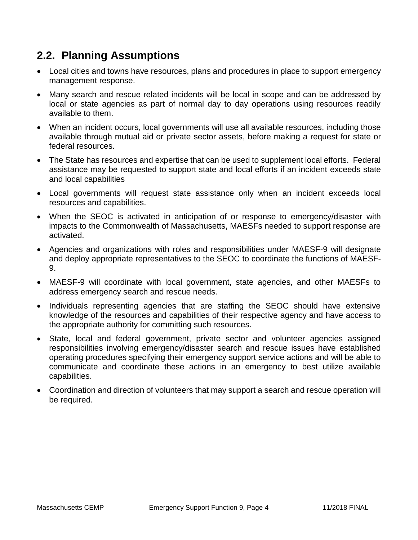## **2.2. Planning Assumptions**

- Local cities and towns have resources, plans and procedures in place to support emergency management response.
- Many search and rescue related incidents will be local in scope and can be addressed by local or state agencies as part of normal day to day operations using resources readily available to them.
- When an incident occurs, local governments will use all available resources, including those available through mutual aid or private sector assets, before making a request for state or federal resources.
- The State has resources and expertise that can be used to supplement local efforts. Federal assistance may be requested to support state and local efforts if an incident exceeds state and local capabilities
- Local governments will request state assistance only when an incident exceeds local resources and capabilities.
- When the SEOC is activated in anticipation of or response to emergency/disaster with impacts to the Commonwealth of Massachusetts, MAESFs needed to support response are activated.
- Agencies and organizations with roles and responsibilities under MAESF-9 will designate and deploy appropriate representatives to the SEOC to coordinate the functions of MAESF-9.
- MAESF-9 will coordinate with local government, state agencies, and other MAESFs to address emergency search and rescue needs.
- Individuals representing agencies that are staffing the SEOC should have extensive knowledge of the resources and capabilities of their respective agency and have access to the appropriate authority for committing such resources.
- State, local and federal government, private sector and volunteer agencies assigned responsibilities involving emergency/disaster search and rescue issues have established operating procedures specifying their emergency support service actions and will be able to communicate and coordinate these actions in an emergency to best utilize available capabilities.
- Coordination and direction of volunteers that may support a search and rescue operation will be required.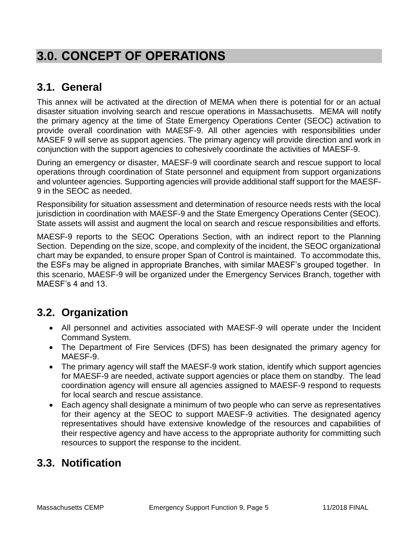# **3.0. CONCEPT OF OPERATIONS**

## **3.1. General**

This annex will be activated at the direction of MEMA when there is potential for or an actual disaster situation involving search and rescue operations in Massachusetts. MEMA will notify the primary agency at the time of State Emergency Operations Center (SEOC) activation to provide overall coordination with MAESF-9. All other agencies with responsibilities under MASEF 9 will serve as support agencies. The primary agency will provide direction and work in conjunction with the support agencies to cohesively coordinate the activities of MAESF-9.

During an emergency or disaster, MAESF-9 will coordinate search and rescue support to local operations through coordination of State personnel and equipment from support organizations and volunteer agencies. Supporting agencies will provide additional staff support for the MAESF-9 in the SEOC as needed.

Responsibility for situation assessment and determination of resource needs rests with the local jurisdiction in coordination with MAESF-9 and the State Emergency Operations Center (SEOC). State assets will assist and augment the local on search and rescue responsibilities and efforts.

MAESF-9 reports to the SEOC Operations Section, with an indirect report to the Planning Section. Depending on the size, scope, and complexity of the incident, the SEOC organizational chart may be expanded, to ensure proper Span of Control is maintained. To accommodate this, the ESFs may be aligned in appropriate Branches, with similar MAESF's grouped together. In this scenario, MAESF-9 will be organized under the Emergency Services Branch, together with MAESF's 4 and 13.

### **3.2. Organization**

- All personnel and activities associated with MAESF-9 will operate under the Incident Command System.
- The Department of Fire Services (DFS) has been designated the primary agency for MAESF-9.
- The primary agency will staff the MAESF-9 work station, identify which support agencies for MAESF-9 are needed, activate support agencies or place them on standby. The lead coordination agency will ensure all agencies assigned to MAESF-9 respond to requests for local search and rescue assistance.
- Each agency shall designate a minimum of two people who can serve as representatives for their agency at the SEOC to support MAESF-9 activities. The designated agency representatives should have extensive knowledge of the resources and capabilities of their respective agency and have access to the appropriate authority for committing such resources to support the response to the incident.

### **3.3. Notification**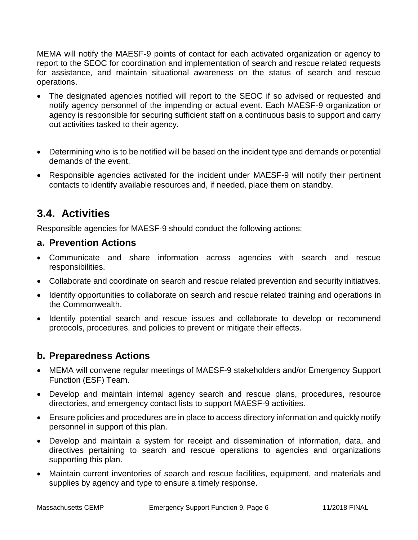MEMA will notify the MAESF-9 points of contact for each activated organization or agency to report to the SEOC for coordination and implementation of search and rescue related requests for assistance, and maintain situational awareness on the status of search and rescue operations.

- The designated agencies notified will report to the SEOC if so advised or requested and notify agency personnel of the impending or actual event. Each MAESF-9 organization or agency is responsible for securing sufficient staff on a continuous basis to support and carry out activities tasked to their agency.
- Determining who is to be notified will be based on the incident type and demands or potential demands of the event.
- Responsible agencies activated for the incident under MAESF-9 will notify their pertinent contacts to identify available resources and, if needed, place them on standby.

## **3.4. Activities**

Responsible agencies for MAESF-9 should conduct the following actions:

#### **a. Prevention Actions**

- Communicate and share information across agencies with search and rescue responsibilities.
- Collaborate and coordinate on search and rescue related prevention and security initiatives.
- Identify opportunities to collaborate on search and rescue related training and operations in the Commonwealth.
- Identify potential search and rescue issues and collaborate to develop or recommend protocols, procedures, and policies to prevent or mitigate their effects.

### **b. Preparedness Actions**

- MEMA will convene regular meetings of MAESF-9 stakeholders and/or Emergency Support Function (ESF) Team.
- Develop and maintain internal agency search and rescue plans, procedures, resource directories, and emergency contact lists to support MAESF-9 activities.
- Ensure policies and procedures are in place to access directory information and quickly notify personnel in support of this plan.
- Develop and maintain a system for receipt and dissemination of information, data, and directives pertaining to search and rescue operations to agencies and organizations supporting this plan.
- Maintain current inventories of search and rescue facilities, equipment, and materials and supplies by agency and type to ensure a timely response.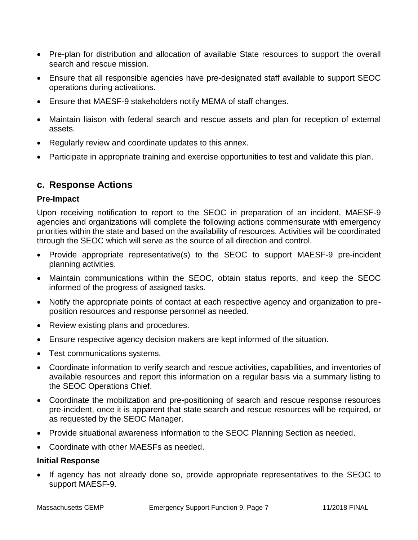- Pre-plan for distribution and allocation of available State resources to support the overall search and rescue mission.
- Ensure that all responsible agencies have pre-designated staff available to support SEOC operations during activations.
- Ensure that MAESF-9 stakeholders notify MEMA of staff changes.
- Maintain liaison with federal search and rescue assets and plan for reception of external assets.
- Regularly review and coordinate updates to this annex.
- Participate in appropriate training and exercise opportunities to test and validate this plan.

#### **c. Response Actions**

#### **Pre-Impact**

Upon receiving notification to report to the SEOC in preparation of an incident, MAESF-9 agencies and organizations will complete the following actions commensurate with emergency priorities within the state and based on the availability of resources. Activities will be coordinated through the SEOC which will serve as the source of all direction and control.

- Provide appropriate representative(s) to the SEOC to support MAESF-9 pre-incident planning activities.
- Maintain communications within the SEOC, obtain status reports, and keep the SEOC informed of the progress of assigned tasks.
- Notify the appropriate points of contact at each respective agency and organization to preposition resources and response personnel as needed.
- Review existing plans and procedures.
- Ensure respective agency decision makers are kept informed of the situation.
- Test communications systems.
- Coordinate information to verify search and rescue activities, capabilities, and inventories of available resources and report this information on a regular basis via a summary listing to the SEOC Operations Chief.
- Coordinate the mobilization and pre-positioning of search and rescue response resources pre-incident, once it is apparent that state search and rescue resources will be required, or as requested by the SEOC Manager.
- Provide situational awareness information to the SEOC Planning Section as needed.
- Coordinate with other MAESFs as needed.

#### **Initial Response**

 If agency has not already done so, provide appropriate representatives to the SEOC to support MAESF-9.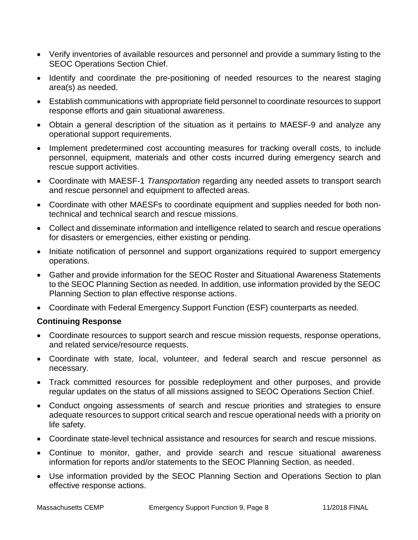- Verify inventories of available resources and personnel and provide a summary listing to the SEOC Operations Section Chief.
- Identify and coordinate the pre-positioning of needed resources to the nearest staging area(s) as needed.
- Establish communications with appropriate field personnel to coordinate resources to support response efforts and gain situational awareness.
- Obtain a general description of the situation as it pertains to MAESF-9 and analyze any operational support requirements.
- Implement predetermined cost accounting measures for tracking overall costs, to include personnel, equipment, materials and other costs incurred during emergency search and rescue support activities.
- Coordinate with MAESF-1 *Transportation* regarding any needed assets to transport search and rescue personnel and equipment to affected areas.
- Coordinate with other MAESFs to coordinate equipment and supplies needed for both nontechnical and technical search and rescue missions.
- Collect and disseminate information and intelligence related to search and rescue operations for disasters or emergencies, either existing or pending.
- Initiate notification of personnel and support organizations required to support emergency operations.
- Gather and provide information for the SEOC Roster and Situational Awareness Statements to the SEOC Planning Section as needed. In addition, use information provided by the SEOC Planning Section to plan effective response actions.
- Coordinate with Federal Emergency Support Function (ESF) counterparts as needed.

#### **Continuing Response**

- Coordinate resources to support search and rescue mission requests, response operations, and related service/resource requests.
- Coordinate with state, local, volunteer, and federal search and rescue personnel as necessary.
- Track committed resources for possible redeployment and other purposes, and provide regular updates on the status of all missions assigned to SEOC Operations Section Chief.
- Conduct ongoing assessments of search and rescue priorities and strategies to ensure adequate resources to support critical search and rescue operational needs with a priority on life safety.
- Coordinate state-level technical assistance and resources for search and rescue missions.
- Continue to monitor, gather, and provide search and rescue situational awareness information for reports and/or statements to the SEOC Planning Section, as needed.
- Use information provided by the SEOC Planning Section and Operations Section to plan effective response actions.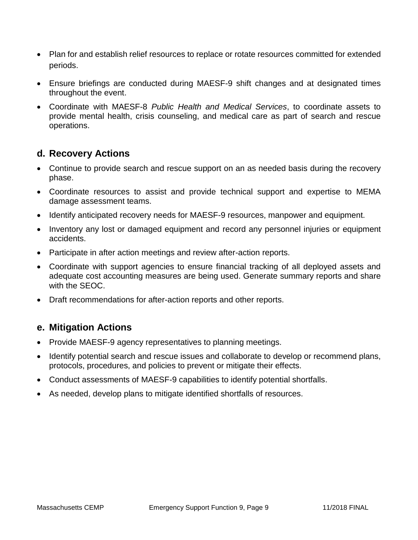- Plan for and establish relief resources to replace or rotate resources committed for extended periods.
- Ensure briefings are conducted during MAESF-9 shift changes and at designated times throughout the event.
- Coordinate with MAESF-8 *Public Health and Medical Services*, to coordinate assets to provide mental health, crisis counseling, and medical care as part of search and rescue operations.

#### **d. Recovery Actions**

- Continue to provide search and rescue support on an as needed basis during the recovery phase.
- Coordinate resources to assist and provide technical support and expertise to MEMA damage assessment teams.
- Identify anticipated recovery needs for MAESF-9 resources, manpower and equipment.
- Inventory any lost or damaged equipment and record any personnel injuries or equipment accidents.
- Participate in after action meetings and review after-action reports.
- Coordinate with support agencies to ensure financial tracking of all deployed assets and adequate cost accounting measures are being used. Generate summary reports and share with the SEOC.
- Draft recommendations for after-action reports and other reports.

### **e. Mitigation Actions**

- Provide MAESF-9 agency representatives to planning meetings.
- Identify potential search and rescue issues and collaborate to develop or recommend plans, protocols, procedures, and policies to prevent or mitigate their effects.
- Conduct assessments of MAESF-9 capabilities to identify potential shortfalls.
- As needed, develop plans to mitigate identified shortfalls of resources.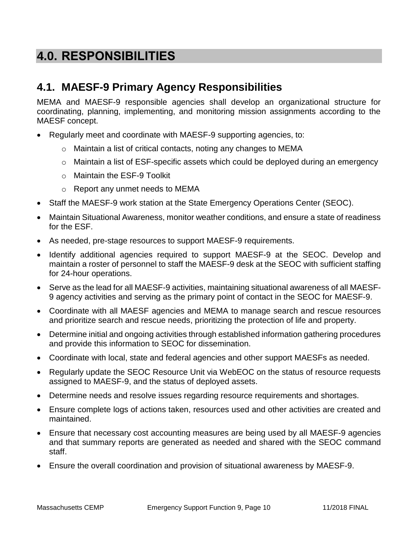# **4.0. RESPONSIBILITIES**

### **4.1. MAESF-9 Primary Agency Responsibilities**

MEMA and MAESF-9 responsible agencies shall develop an organizational structure for coordinating, planning, implementing, and monitoring mission assignments according to the MAESF concept.

- Regularly meet and coordinate with MAESF-9 supporting agencies, to:
	- o Maintain a list of critical contacts, noting any changes to MEMA
	- $\circ$  Maintain a list of ESF-specific assets which could be deployed during an emergency
	- o Maintain the ESF-9 Toolkit
	- o Report any unmet needs to MEMA
- Staff the MAESF-9 work station at the State Emergency Operations Center (SEOC).
- Maintain Situational Awareness, monitor weather conditions, and ensure a state of readiness for the ESF.
- As needed, pre-stage resources to support MAESF-9 requirements.
- Identify additional agencies required to support MAESF-9 at the SEOC. Develop and maintain a roster of personnel to staff the MAESF-9 desk at the SEOC with sufficient staffing for 24-hour operations.
- Serve as the lead for all MAESF-9 activities, maintaining situational awareness of all MAESF-9 agency activities and serving as the primary point of contact in the SEOC for MAESF-9.
- Coordinate with all MAESF agencies and MEMA to manage search and rescue resources and prioritize search and rescue needs, prioritizing the protection of life and property.
- Determine initial and ongoing activities through established information gathering procedures and provide this information to SEOC for dissemination.
- Coordinate with local, state and federal agencies and other support MAESFs as needed.
- Regularly update the SEOC Resource Unit via WebEOC on the status of resource requests assigned to MAESF-9, and the status of deployed assets.
- Determine needs and resolve issues regarding resource requirements and shortages.
- Ensure complete logs of actions taken, resources used and other activities are created and maintained.
- Ensure that necessary cost accounting measures are being used by all MAESF-9 agencies and that summary reports are generated as needed and shared with the SEOC command staff.
- Ensure the overall coordination and provision of situational awareness by MAESF-9.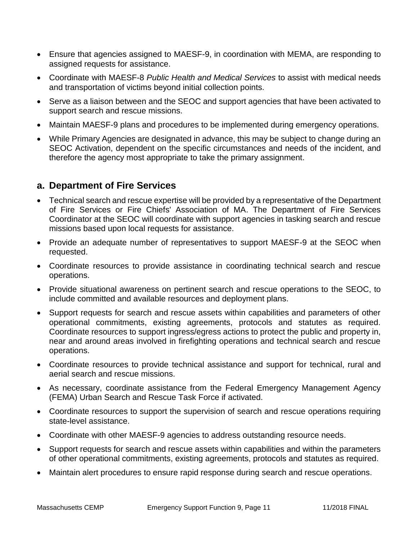- Ensure that agencies assigned to MAESF-9, in coordination with MEMA, are responding to assigned requests for assistance.
- Coordinate with MAESF-8 *Public Health and Medical Services* to assist with medical needs and transportation of victims beyond initial collection points.
- Serve as a liaison between and the SEOC and support agencies that have been activated to support search and rescue missions.
- Maintain MAESF-9 plans and procedures to be implemented during emergency operations.
- While Primary Agencies are designated in advance, this may be subject to change during an SEOC Activation, dependent on the specific circumstances and needs of the incident, and therefore the agency most appropriate to take the primary assignment.

#### **a. Department of Fire Services**

- Technical search and rescue expertise will be provided by a representative of the Department of Fire Services or Fire Chiefs' Association of MA. The Department of Fire Services Coordinator at the SEOC will coordinate with support agencies in tasking search and rescue missions based upon local requests for assistance.
- Provide an adequate number of representatives to support MAESF-9 at the SEOC when requested.
- Coordinate resources to provide assistance in coordinating technical search and rescue operations.
- Provide situational awareness on pertinent search and rescue operations to the SEOC, to include committed and available resources and deployment plans.
- Support requests for search and rescue assets within capabilities and parameters of other operational commitments, existing agreements, protocols and statutes as required. Coordinate resources to support ingress/egress actions to protect the public and property in, near and around areas involved in firefighting operations and technical search and rescue operations.
- Coordinate resources to provide technical assistance and support for technical, rural and aerial search and rescue missions.
- As necessary, coordinate assistance from the Federal Emergency Management Agency (FEMA) Urban Search and Rescue Task Force if activated.
- Coordinate resources to support the supervision of search and rescue operations requiring state-level assistance.
- Coordinate with other MAESF-9 agencies to address outstanding resource needs.
- Support requests for search and rescue assets within capabilities and within the parameters of other operational commitments, existing agreements, protocols and statutes as required.
- Maintain alert procedures to ensure rapid response during search and rescue operations.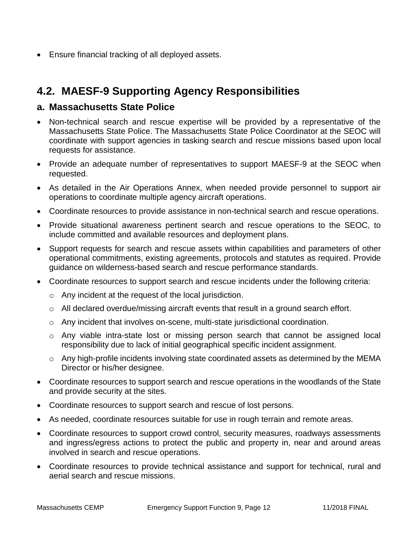Ensure financial tracking of all deployed assets.

## **4.2. MAESF-9 Supporting Agency Responsibilities**

#### **a. Massachusetts State Police**

- Non-technical search and rescue expertise will be provided by a representative of the Massachusetts State Police. The Massachusetts State Police Coordinator at the SEOC will coordinate with support agencies in tasking search and rescue missions based upon local requests for assistance.
- Provide an adequate number of representatives to support MAESF-9 at the SEOC when requested.
- As detailed in the Air Operations Annex, when needed provide personnel to support air operations to coordinate multiple agency aircraft operations.
- Coordinate resources to provide assistance in non-technical search and rescue operations.
- Provide situational awareness pertinent search and rescue operations to the SEOC, to include committed and available resources and deployment plans.
- Support requests for search and rescue assets within capabilities and parameters of other operational commitments, existing agreements, protocols and statutes as required. Provide guidance on wilderness-based search and rescue performance standards.
- Coordinate resources to support search and rescue incidents under the following criteria:
	- o Any incident at the request of the local jurisdiction.
	- o All declared overdue/missing aircraft events that result in a ground search effort.
	- o Any incident that involves on-scene, multi-state jurisdictional coordination.
	- o Any viable intra-state lost or missing person search that cannot be assigned local responsibility due to lack of initial geographical specific incident assignment.
	- $\circ$  Any high-profile incidents involving state coordinated assets as determined by the MEMA Director or his/her designee.
- Coordinate resources to support search and rescue operations in the woodlands of the State and provide security at the sites.
- Coordinate resources to support search and rescue of lost persons.
- As needed, coordinate resources suitable for use in rough terrain and remote areas.
- Coordinate resources to support crowd control, security measures, roadways assessments and ingress/egress actions to protect the public and property in, near and around areas involved in search and rescue operations.
- Coordinate resources to provide technical assistance and support for technical, rural and aerial search and rescue missions.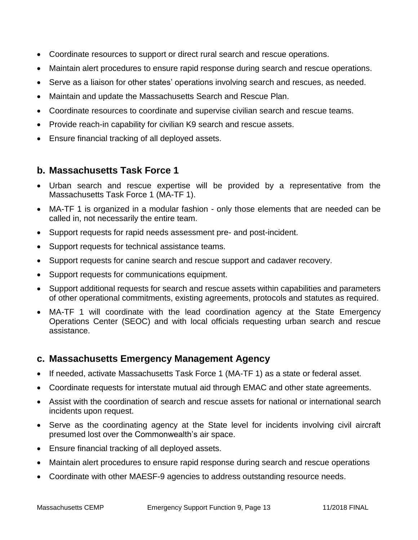- Coordinate resources to support or direct rural search and rescue operations.
- Maintain alert procedures to ensure rapid response during search and rescue operations.
- Serve as a liaison for other states' operations involving search and rescues, as needed.
- Maintain and update the Massachusetts Search and Rescue Plan.
- Coordinate resources to coordinate and supervise civilian search and rescue teams.
- Provide reach-in capability for civilian K9 search and rescue assets.
- Ensure financial tracking of all deployed assets.

#### **b. Massachusetts Task Force 1**

- Urban search and rescue expertise will be provided by a representative from the Massachusetts Task Force 1 (MA-TF 1).
- MA-TF 1 is organized in a modular fashion only those elements that are needed can be called in, not necessarily the entire team.
- Support requests for rapid needs assessment pre- and post-incident.
- Support requests for technical assistance teams.
- Support requests for canine search and rescue support and cadaver recovery.
- Support requests for communications equipment.
- Support additional requests for search and rescue assets within capabilities and parameters of other operational commitments, existing agreements, protocols and statutes as required.
- MA-TF 1 will coordinate with the lead coordination agency at the State Emergency Operations Center (SEOC) and with local officials requesting urban search and rescue assistance.

#### **c. Massachusetts Emergency Management Agency**

- If needed, activate Massachusetts Task Force 1 (MA-TF 1) as a state or federal asset.
- Coordinate requests for interstate mutual aid through EMAC and other state agreements.
- Assist with the coordination of search and rescue assets for national or international search incidents upon request.
- Serve as the coordinating agency at the State level for incidents involving civil aircraft presumed lost over the Commonwealth's air space.
- Ensure financial tracking of all deployed assets.
- Maintain alert procedures to ensure rapid response during search and rescue operations
- Coordinate with other MAESF-9 agencies to address outstanding resource needs.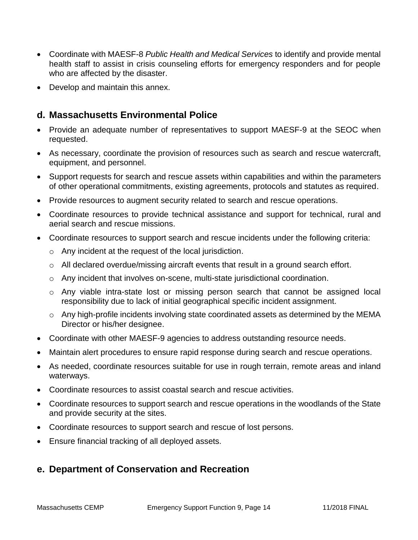- Coordinate with MAESF-8 *Public Health and Medical Services* to identify and provide mental health staff to assist in crisis counseling efforts for emergency responders and for people who are affected by the disaster.
- Develop and maintain this annex.

#### **d. Massachusetts Environmental Police**

- Provide an adequate number of representatives to support MAESF-9 at the SEOC when requested.
- As necessary, coordinate the provision of resources such as search and rescue watercraft, equipment, and personnel.
- Support requests for search and rescue assets within capabilities and within the parameters of other operational commitments, existing agreements, protocols and statutes as required.
- Provide resources to augment security related to search and rescue operations.
- Coordinate resources to provide technical assistance and support for technical, rural and aerial search and rescue missions.
- Coordinate resources to support search and rescue incidents under the following criteria:
	- o Any incident at the request of the local jurisdiction.
	- $\circ$  All declared overdue/missing aircraft events that result in a ground search effort.
	- o Any incident that involves on-scene, multi-state jurisdictional coordination.
	- o Any viable intra-state lost or missing person search that cannot be assigned local responsibility due to lack of initial geographical specific incident assignment.
	- o Any high-profile incidents involving state coordinated assets as determined by the MEMA Director or his/her designee.
- Coordinate with other MAESF-9 agencies to address outstanding resource needs.
- Maintain alert procedures to ensure rapid response during search and rescue operations.
- As needed, coordinate resources suitable for use in rough terrain, remote areas and inland waterways.
- Coordinate resources to assist coastal search and rescue activities.
- Coordinate resources to support search and rescue operations in the woodlands of the State and provide security at the sites.
- Coordinate resources to support search and rescue of lost persons.
- Ensure financial tracking of all deployed assets.

#### **e. Department of Conservation and Recreation**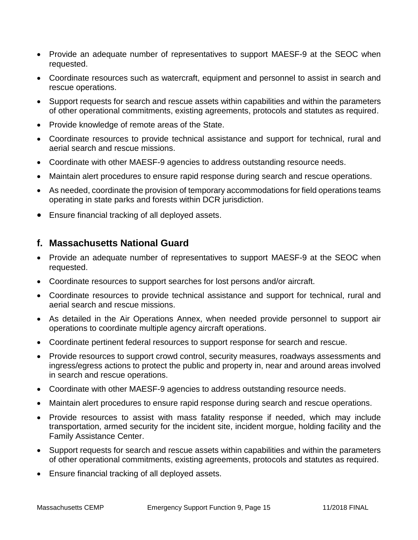- Provide an adequate number of representatives to support MAESF-9 at the SEOC when requested.
- Coordinate resources such as watercraft, equipment and personnel to assist in search and rescue operations.
- Support requests for search and rescue assets within capabilities and within the parameters of other operational commitments, existing agreements, protocols and statutes as required.
- Provide knowledge of remote areas of the State.
- Coordinate resources to provide technical assistance and support for technical, rural and aerial search and rescue missions.
- Coordinate with other MAESF-9 agencies to address outstanding resource needs.
- Maintain alert procedures to ensure rapid response during search and rescue operations.
- As needed, coordinate the provision of temporary accommodations for field operations teams operating in state parks and forests within DCR jurisdiction.
- Ensure financial tracking of all deployed assets.

#### **f. Massachusetts National Guard**

- Provide an adequate number of representatives to support MAESF-9 at the SEOC when requested.
- Coordinate resources to support searches for lost persons and/or aircraft.
- Coordinate resources to provide technical assistance and support for technical, rural and aerial search and rescue missions.
- As detailed in the Air Operations Annex, when needed provide personnel to support air operations to coordinate multiple agency aircraft operations.
- Coordinate pertinent federal resources to support response for search and rescue.
- Provide resources to support crowd control, security measures, roadways assessments and ingress/egress actions to protect the public and property in, near and around areas involved in search and rescue operations.
- Coordinate with other MAESF-9 agencies to address outstanding resource needs.
- Maintain alert procedures to ensure rapid response during search and rescue operations.
- Provide resources to assist with mass fatality response if needed, which may include transportation, armed security for the incident site, incident morgue, holding facility and the Family Assistance Center.
- Support requests for search and rescue assets within capabilities and within the parameters of other operational commitments, existing agreements, protocols and statutes as required.
- Ensure financial tracking of all deployed assets.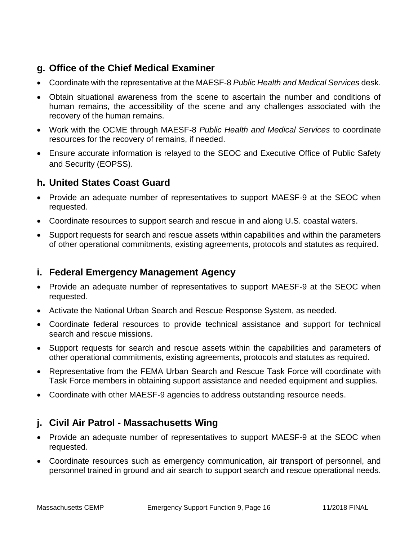### **g. Office of the Chief Medical Examiner**

- Coordinate with the representative at the MAESF-8 *Public Health and Medical Services* desk.
- Obtain situational awareness from the scene to ascertain the number and conditions of human remains, the accessibility of the scene and any challenges associated with the recovery of the human remains.
- Work with the OCME through MAESF-8 *Public Health and Medical Services* to coordinate resources for the recovery of remains, if needed.
- Ensure accurate information is relayed to the SEOC and Executive Office of Public Safety and Security (EOPSS).

### **h. United States Coast Guard**

- Provide an adequate number of representatives to support MAESF-9 at the SEOC when requested.
- Coordinate resources to support search and rescue in and along U.S. coastal waters.
- Support requests for search and rescue assets within capabilities and within the parameters of other operational commitments, existing agreements, protocols and statutes as required.

### **i. Federal Emergency Management Agency**

- Provide an adequate number of representatives to support MAESF-9 at the SEOC when requested.
- Activate the National Urban Search and Rescue Response System, as needed.
- Coordinate federal resources to provide technical assistance and support for technical search and rescue missions.
- Support requests for search and rescue assets within the capabilities and parameters of other operational commitments, existing agreements, protocols and statutes as required.
- Representative from the FEMA Urban Search and Rescue Task Force will coordinate with Task Force members in obtaining support assistance and needed equipment and supplies.
- Coordinate with other MAESF-9 agencies to address outstanding resource needs.

### **j. Civil Air Patrol - Massachusetts Wing**

- Provide an adequate number of representatives to support MAESF-9 at the SEOC when requested.
- Coordinate resources such as emergency communication, air transport of personnel, and personnel trained in ground and air search to support search and rescue operational needs.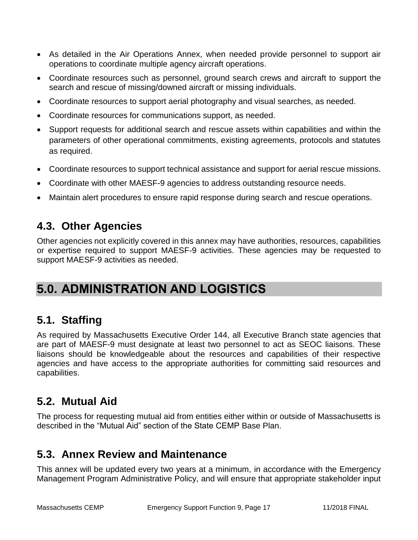- As detailed in the Air Operations Annex, when needed provide personnel to support air operations to coordinate multiple agency aircraft operations.
- Coordinate resources such as personnel, ground search crews and aircraft to support the search and rescue of missing/downed aircraft or missing individuals.
- Coordinate resources to support aerial photography and visual searches, as needed.
- Coordinate resources for communications support, as needed.
- Support requests for additional search and rescue assets within capabilities and within the parameters of other operational commitments, existing agreements, protocols and statutes as required.
- Coordinate resources to support technical assistance and support for aerial rescue missions.
- Coordinate with other MAESF-9 agencies to address outstanding resource needs.
- Maintain alert procedures to ensure rapid response during search and rescue operations.

### **4.3. Other Agencies**

Other agencies not explicitly covered in this annex may have authorities, resources, capabilities or expertise required to support MAESF-9 activities. These agencies may be requested to support MAESF-9 activities as needed.

# **5.0. ADMINISTRATION AND LOGISTICS**

### **5.1. Staffing**

As required by Massachusetts Executive Order 144, all Executive Branch state agencies that are part of MAESF-9 must designate at least two personnel to act as SEOC liaisons. These liaisons should be knowledgeable about the resources and capabilities of their respective agencies and have access to the appropriate authorities for committing said resources and capabilities.

### **5.2. Mutual Aid**

The process for requesting mutual aid from entities either within or outside of Massachusetts is described in the "Mutual Aid" section of the State CEMP Base Plan.

### **5.3. Annex Review and Maintenance**

This annex will be updated every two years at a minimum, in accordance with the Emergency Management Program Administrative Policy, and will ensure that appropriate stakeholder input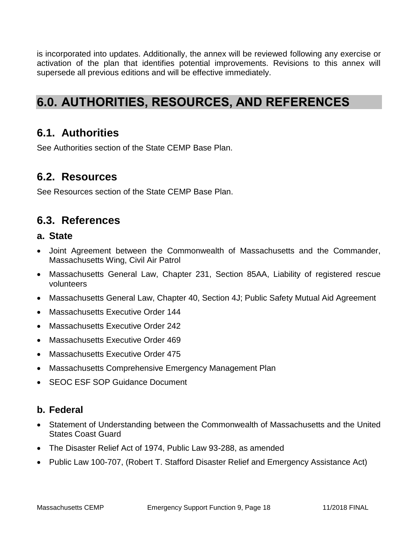is incorporated into updates. Additionally, the annex will be reviewed following any exercise or activation of the plan that identifies potential improvements. Revisions to this annex will supersede all previous editions and will be effective immediately.

# **6.0. AUTHORITIES, RESOURCES, AND REFERENCES**

### **6.1. Authorities**

See Authorities section of the State CEMP Base Plan.

### **6.2. Resources**

See Resources section of the State CEMP Base Plan.

### **6.3. References**

#### **a. State**

- Joint Agreement between the Commonwealth of Massachusetts and the Commander, Massachusetts Wing, Civil Air Patrol
- Massachusetts General Law, Chapter 231, Section 85AA, Liability of registered rescue volunteers
- Massachusetts General Law, Chapter 40, Section 4J; Public Safety Mutual Aid Agreement
- Massachusetts Executive Order 144
- Massachusetts Executive Order 242
- Massachusetts Executive Order 469
- Massachusetts Executive Order 475
- Massachusetts Comprehensive Emergency Management Plan
- SEOC ESF SOP Guidance Document

### **b. Federal**

- Statement of Understanding between the Commonwealth of Massachusetts and the United States Coast Guard
- The Disaster Relief Act of 1974, Public Law 93-288, as amended
- Public Law 100-707, (Robert T. Stafford Disaster Relief and Emergency Assistance Act)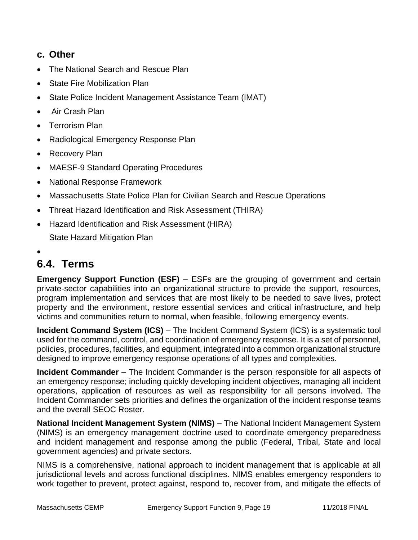#### **c. Other**

- The National Search and Rescue Plan
- State Fire Mobilization Plan
- State Police Incident Management Assistance Team (IMAT)
- Air Crash Plan
- Terrorism Plan
- Radiological Emergency Response Plan
- Recovery Plan
- MAESF-9 Standard Operating Procedures
- National Response Framework
- Massachusetts State Police Plan for Civilian Search and Rescue Operations
- Threat Hazard Identification and Risk Assessment (THIRA)
- Hazard Identification and Risk Assessment (HIRA) State Hazard Mitigation Plan
- $\bullet$

# **6.4. Terms**

**Emergency Support Function (ESF)** – ESFs are the grouping of government and certain private-sector capabilities into an organizational structure to provide the support, resources, program implementation and services that are most likely to be needed to save lives, protect property and the environment, restore essential services and critical infrastructure, and help victims and communities return to normal, when feasible, following emergency events.

**Incident Command System (ICS)** – The Incident Command System (ICS) is a systematic tool used for the command, control, and coordination of emergency response. It is a set of personnel, policies, procedures, facilities, and equipment, integrated into a common organizational structure designed to improve emergency response operations of all types and complexities.

**Incident Commander** – The Incident Commander is the person responsible for all aspects of an emergency response; including quickly developing incident objectives, managing all incident operations, application of resources as well as responsibility for all persons involved. The Incident Commander sets priorities and defines the organization of the incident response teams and the overall SEOC Roster.

**National Incident Management System (NIMS)** – The National Incident Management System (NIMS) is an emergency management doctrine used to coordinate emergency preparedness and incident management and response among the public (Federal, Tribal, State and local government agencies) and private sectors.

NIMS is a comprehensive, national approach to incident management that is applicable at all jurisdictional levels and across functional disciplines. NIMS enables emergency responders to work together to prevent, protect against, respond to, recover from, and mitigate the effects of